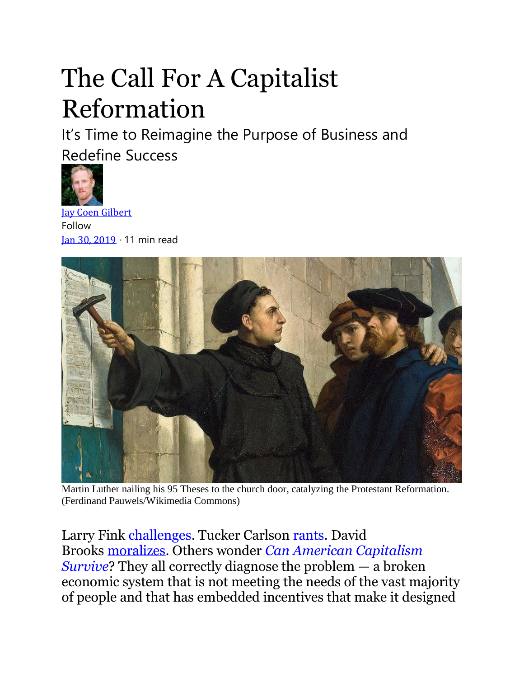# The Call For A Capitalist Reformation

It's Time to Reimagine the Purpose of Business and Redefine Success



[Jay Coen Gilbert](https://bthechange.com/@JayCoenGilbert?source=post_page-----805e6d6710d1----------------------) Follow [Jan 30, 2019](https://bthechange.com/the-call-for-a-capitalist-reformation-805e6d6710d1?source=post_page-----805e6d6710d1----------------------) · 11 min read



Martin Luther nailing his 95 Theses to the church door, catalyzing the Protestant Reformation. (Ferdinand Pauwels/Wikimedia Commons)

Larry Fink [challenges.](https://www.blackrock.com/corporate/investor-relations/larry-fink-ceo-letter) Tucker Carlson [rants.](https://www.realclearpolitics.com/video/2019/01/03/tucker_carlson_we_are_ruled_by_mercenaries_who_feel_no_long-term_obligation_to_the_people_they_rule.html) David Brooks [moralizes.](https://www.nytimes.com/2019/01/10/opinion/market-morality.html) Others wonder *[Can American Capitalism](https://us.macmillan.com/books/9781250185983)  [Survive](https://us.macmillan.com/books/9781250185983)*? They all correctly diagnose the problem — a broken economic system that is not meeting the needs of the vast majority of people and that has embedded incentives that make it designed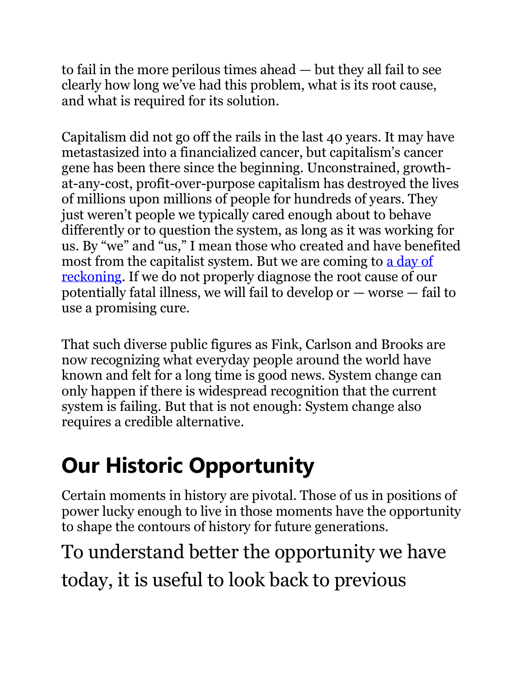to fail in the more perilous times ahead — but they all fail to see clearly how long we've had this problem, what is its root cause, and what is required for its solution.

Capitalism did not go off the rails in the last 40 years. It may have metastasized into a financialized cancer, but capitalism's cancer gene has been there since the beginning. Unconstrained, growthat-any-cost, profit-over-purpose capitalism has destroyed the lives of millions upon millions of people for hundreds of years. They just weren't people we typically cared enough about to behave differently or to question the system, as long as it was working for us. By "we" and "us," I mean those who created and have benefited most from the capitalist system. But we are coming to [a day of](https://www.reuters.com/article/us-france-protests-macron/frances-macron-reeling-as-tough-stance-against-yellow-vests-backfires-idUSKCN1P00KG)  [reckoning.](https://www.reuters.com/article/us-france-protests-macron/frances-macron-reeling-as-tough-stance-against-yellow-vests-backfires-idUSKCN1P00KG) If we do not properly diagnose the root cause of our potentially fatal illness, we will fail to develop or — worse — fail to use a promising cure.

That such diverse public figures as Fink, Carlson and Brooks are now recognizing what everyday people around the world have known and felt for a long time is good news. System change can only happen if there is widespread recognition that the current system is failing. But that is not enough: System change also requires a credible alternative.

## **Our Historic Opportunity**

Certain moments in history are pivotal. Those of us in positions of power lucky enough to live in those moments have the opportunity to shape the contours of history for future generations.

#### To understand better the opportunity we have today, it is useful to look back to previous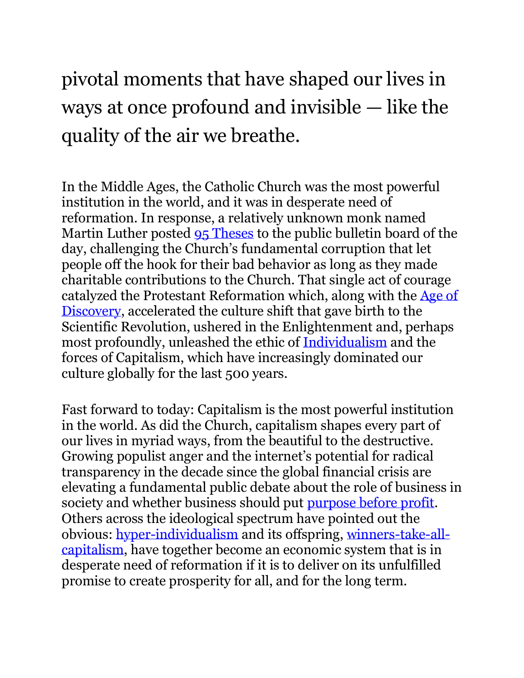#### pivotal moments that have shaped our lives in ways at once profound and invisible — like the quality of the air we breathe.

In the Middle Ages, the Catholic Church was the most powerful institution in the world, and it was in desperate need of reformation. In response, a relatively unknown monk named Martin Luther posted [95 Theses](https://www.christianitytoday.com/history/issues/issue-28/1517-luther-posts-95-theses.html) to the public bulletin board of the day, challenging the Church's fundamental corruption that let people off the hook for their bad behavior as long as they made charitable contributions to the Church. That single act of courage catalyzed the Protestant Reformation which, along with the [Age of](https://bthechange.com/the-future-is-an-act-of-creation-3b831abd1bbc)  [Discovery,](https://bthechange.com/the-future-is-an-act-of-creation-3b831abd1bbc) accelerated the culture shift that gave birth to the Scientific Revolution, ushered in the Enlightenment and, perhaps most profoundly, unleashed the ethic of [Individualism](https://bthechange.com/i-accuse-individualism-2a538d318bf6) and the forces of Capitalism, which have increasingly dominated our culture globally for the last 500 years.

Fast forward to today: Capitalism is the most powerful institution in the world. As did the Church, capitalism shapes every part of our lives in myriad ways, from the beautiful to the destructive. Growing populist anger and the internet's potential for radical transparency in the decade since the global financial crisis are elevating a fundamental public debate about the role of business in society and whether business should put [purpose before profit.](https://www.blackrock.com/corporate/investor-relations/larry-fink-ceo-letter?cid=ppc%3ABlackRock_USWA%3Agoogle%3Alarryfinkletter&gclid=EAIaIQobChMI65Lz_fuD4AIVj4nICh0KLQeWEAAYASAAEgIP4_D_BwE&gclsrc=aw.ds) Others across the ideological spectrum have pointed out the obvious: [hyper-individualism](https://www.nationalreview.com/magazine/2018/04/16/lonely-america/) and its offspring, [winners-take-all](http://time.com/5398801/jeff-bezos-philanthropy/)[capitalism,](http://time.com/5398801/jeff-bezos-philanthropy/) have together become an economic system that is in desperate need of reformation if it is to deliver on its unfulfilled promise to create prosperity for all, and for the long term.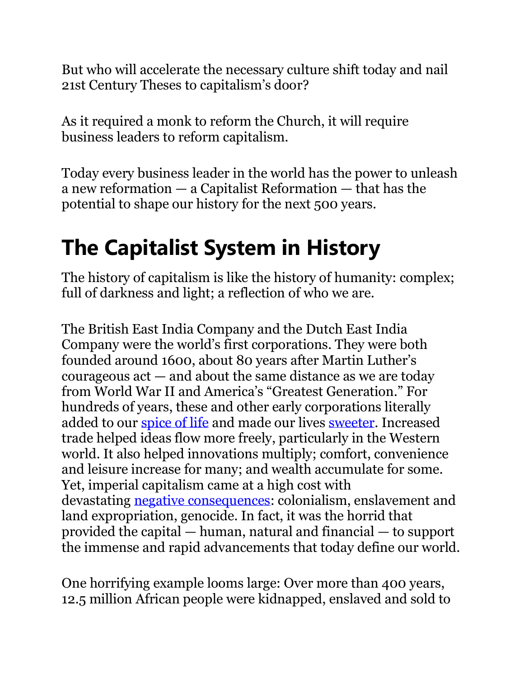But who will accelerate the necessary culture shift today and nail 21st Century Theses to capitalism's door?

As it required a monk to reform the Church, it will require business leaders to reform capitalism.

Today every business leader in the world has the power to unleash a new reformation — a Capitalist Reformation — that has the potential to shape our history for the next 500 years.

## **The Capitalist System in History**

The history of capitalism is like the history of humanity: complex; full of darkness and light; a reflection of who we are.

The British East India Company and the Dutch East India Company were the world's first corporations. They were both founded around 1600, about 80 years after Martin Luther's courageous act — and about the same distance as we are today from World War II and America's "Greatest Generation." For hundreds of years, these and other early corporations literally added to our [spice of life](https://www.britannica.com/topic/East-India-Company) and made our lives [sweeter.](https://www.smithsonianmag.com/history/sugar-masters-in-a-new-world-5212993/) Increased trade helped ideas flow more freely, particularly in the Western world. It also helped innovations multiply; comfort, convenience and leisure increase for many; and wealth accumulate for some. Yet, imperial capitalism came at a high cost with devastating [negative consequences:](https://www.forbes.com/sites/hbsworkingknowledge/2017/05/03/the-clear-connection-between-slavery-and-american-capitalism/#3b7baae17bd3) colonialism, enslavement and land expropriation, genocide. In fact, it was the horrid that provided the capital — human, natural and financial — to support the immense and rapid advancements that today define our world.

One horrifying example looms large: Over more than 400 years, 12.5 million African people were kidnapped, enslaved and sold to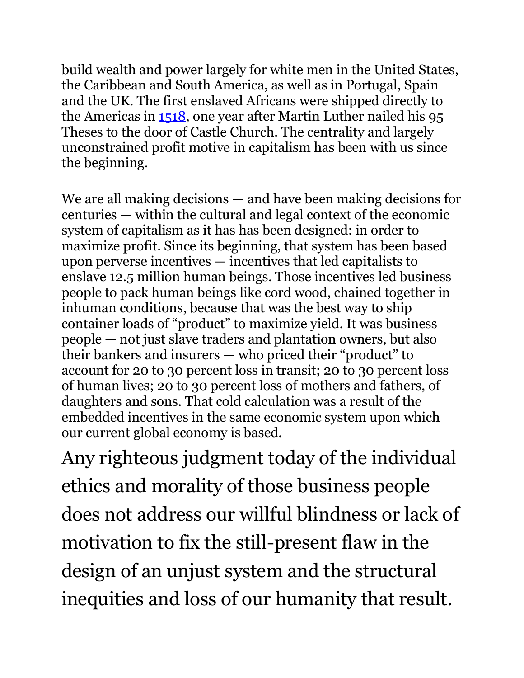build wealth and power largely for white men in the United States, the Caribbean and South America, as well as in Portugal, Spain and the UK. The first enslaved Africans were shipped directly to the Americas in [1518,](http://www.bbc.co.uk/worldservice/africa/features/storyofafrica/9generic3.shtml) one year after Martin Luther nailed his 95 Theses to the door of Castle Church. The centrality and largely unconstrained profit motive in capitalism has been with us since the beginning.

We are all making decisions — and have been making decisions for centuries — within the cultural and legal context of the economic system of capitalism as it has has been designed: in order to maximize profit. Since its beginning, that system has been based upon perverse incentives — incentives that led capitalists to enslave 12.5 million human beings. Those incentives led business people to pack human beings like cord wood, chained together in inhuman conditions, because that was the best way to ship container loads of "product" to maximize yield. It was business people — not just slave traders and plantation owners, but also their bankers and insurers — who priced their "product" to account for 20 to 30 percent loss in transit; 20 to 30 percent loss of human lives; 20 to 30 percent loss of mothers and fathers, of daughters and sons. That cold calculation was a result of the embedded incentives in the same economic system upon which our current global economy is based.

Any righteous judgment today of the individual ethics and morality of those business people does not address our willful blindness or lack of motivation to fix the still-present flaw in the design of an unjust system and the structural inequities and loss of our humanity that result.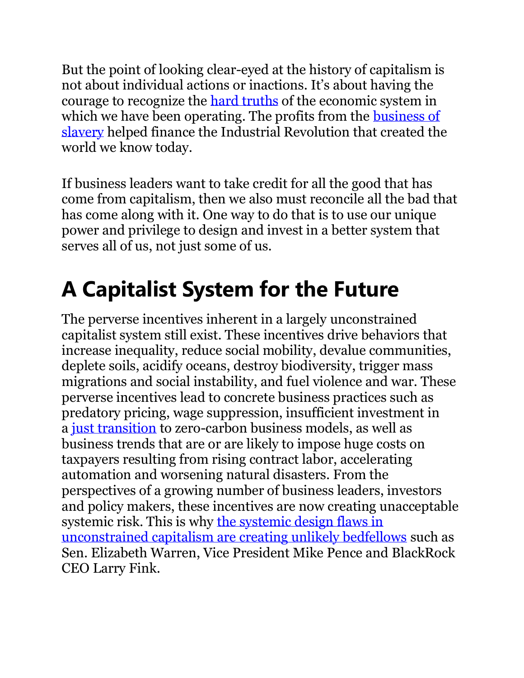But the point of looking clear-eyed at the history of capitalism is not about individual actions or inactions. It's about having the courage to recognize the [hard truths](https://www.newsweek.com/2018/12/07/bryan-stevenson-racism-equal-justice-initiative-national-memorial-peace-and-1234169.html) of the economic system in which we have been operating. The profits from the **business of** [slavery](https://www.chronicle.com/article/SlaveryCapitalism/150787) helped finance the Industrial Revolution that created the world we know today.

If business leaders want to take credit for all the good that has come from capitalism, then we also must reconcile all the bad that has come along with it. One way to do that is to use our unique power and privilege to design and invest in a better system that serves all of us, not just some of us.

### **A Capitalist System for the Future**

The perverse incentives inherent in a largely unconstrained capitalist system still exist. These incentives drive behaviors that increase inequality, reduce social mobility, devalue communities, deplete soils, acidify oceans, destroy biodiversity, trigger mass migrations and social instability, and fuel violence and war. These perverse incentives lead to concrete business practices such as predatory pricing, wage suppression, insufficient investment in a [just transition](https://www.greeneconomycoalition.org/news-analysis/investing-in-a-just-transition-1) to zero-carbon business models, as well as business trends that are or are likely to impose huge costs on taxpayers resulting from rising contract labor, accelerating automation and worsening natural disasters. From the perspectives of a growing number of business leaders, investors and policy makers, these incentives are now creating unacceptable systemic risk. This is why [the systemic design flaws in](https://www.forbes.com/sites/jaycoengilbert/2018/08/15/sen-elizabeth-warren-republicans-ceos-blackrocks-fink-unite-around-accountable-capitalism/#17ff466a51d9)  [unconstrained capitalism are creating unlikely bedfellows](https://www.forbes.com/sites/jaycoengilbert/2018/08/15/sen-elizabeth-warren-republicans-ceos-blackrocks-fink-unite-around-accountable-capitalism/#17ff466a51d9) such as Sen. Elizabeth Warren, Vice President Mike Pence and BlackRock CEO Larry Fink.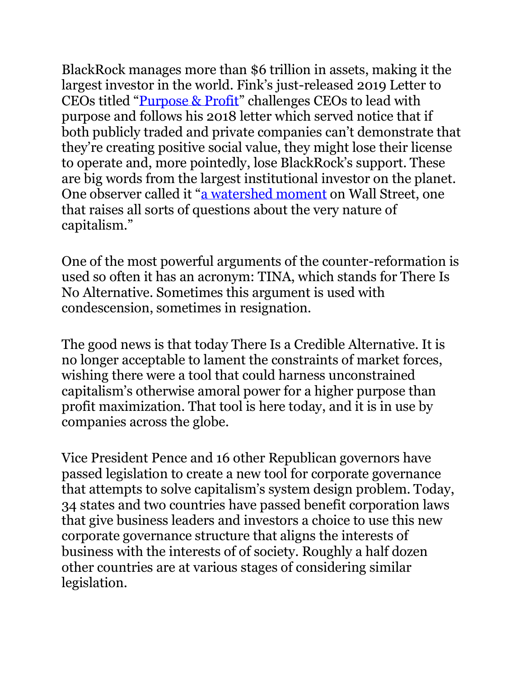BlackRock manages more than \$6 trillion in assets, making it the largest investor in the world. Fink's just-released 2019 Letter to CEOs titled "[Purpose & Profit](https://www.blackrock.com/corporate/investor-relations/larry-fink-ceo-letter)" challenges CEOs to lead with purpose and follows his 2018 letter which served notice that if both publicly traded and private companies can't demonstrate that they're creating positive social value, they might lose their license to operate and, more pointedly, lose BlackRock's support. These are big words from the largest institutional investor on the planet. One observer called it "[a watershed moment](https://www.nytimes.com/2018/01/15/business/dealbook/blackrock-laurence-fink-letter.html) on Wall Street, one that raises all sorts of questions about the very nature of capitalism."

One of the most powerful arguments of the counter-reformation is used so often it has an acronym: TINA, which stands for There Is No Alternative. Sometimes this argument is used with condescension, sometimes in resignation.

The good news is that today There Is a Credible Alternative. It is no longer acceptable to lament the constraints of market forces, wishing there were a tool that could harness unconstrained capitalism's otherwise amoral power for a higher purpose than profit maximization. That tool is here today, and it is in use by companies across the globe.

Vice President Pence and 16 other Republican governors have passed legislation to create a new tool for corporate governance that attempts to solve capitalism's system design problem. Today, 34 states and two countries have passed benefit corporation laws that give business leaders and investors a choice to use this new corporate governance structure that aligns the interests of business with the interests of of society. Roughly a half dozen other countries are at various stages of considering similar legislation.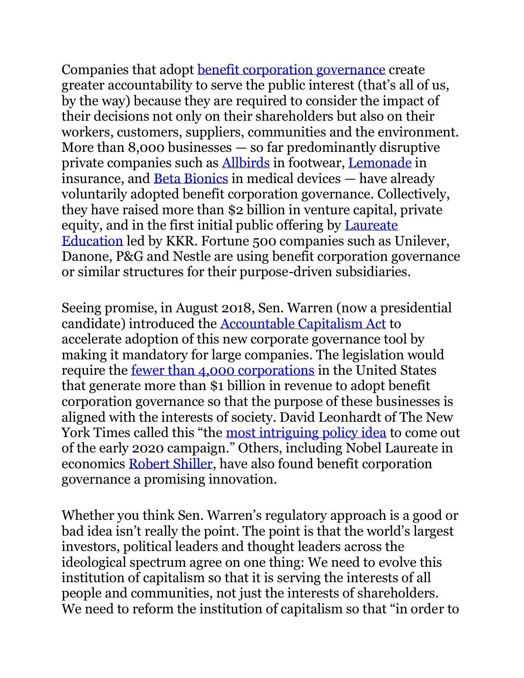Companies that adopt benefit corporation governance create greater accountability [to serve the public interest \(that](http://benefitcorp.net/)'s all of us, by the way) because they are required to consider the impact of their decisions not only on their shareholders but also on their workers, customers, suppliers, communities and the environment. More than 8,000 businesses — so far predominantly disruptive private companies such as [Allbirds](https://www.wsj.com/articles/trendy-sneaker-startup-allbirds-laces-up-1-4-billion-valuation-1539281112) in footwear, [Lemonade](https://www.insurancejournal.com/news/national/2017/12/19/474730.htm) in insurance, and [Beta Bionics](https://www.massdevice.com/beta-bionics-raises-58m-for-ilet-bionic-pancreas/) in medical devices — have already voluntarily adopted benefit corporation governance. Collectively, they have raised more than \$2 billion in venture capital, private equity, and in the first initial public offering by [Laureate](https://www.forbes.com/sites/jaycoengilbert/2018/01/04/for-profit-higher-education-yes-like-this-please/#786222af7937)  [Education](https://www.forbes.com/sites/jaycoengilbert/2018/01/04/for-profit-higher-education-yes-like-this-please/#786222af7937) led by KKR. Fortune 500 companies such as Unilever, Danone, P&G and Nestle are using benefit corporation governance or similar structures for their purpose-driven subsidiaries.

Seeing promise, in August 2018, Sen. Warren (now a presidential candidate) introduced the [Accountable Capitalism Act](https://www.wsj.com/articles/companies-shouldnt-be-accountable-only-to-shareholders-1534287687) to accelerate adoption of this new corporate governance tool by making it mandatory for large companies. The legislation would require the [fewer than 4,000 corporations](https://www.naics.com/business-lists/counts-by-company-size/) in the United States that generate more than \$1 billion in revenue to adopt benefit corporation governance so that the purpose of these businesses is aligned with the interests of society. David Leonhardt of The New York Times called this "the [most intriguing policy idea](https://www.brookings.edu/blog/up-front/2018/08/20/sen-warrens-accountable-capitalism-act-rightfully-challenges-a-central-tenet-of-corporate-governance-theory/) to come out of the early 2020 campaign." Others, including Nobel Laureate in economics [Robert Shiller,](https://www.youtube.com/watch?v=anh1K10nA8U) have also found benefit corporation governance a promising innovation.

Whether you think Sen. Warren's regulatory approach is a good or bad idea isn't really the point. The point is that the world's largest investors, political leaders and thought leaders across the ideological spectrum agree on one thing: We need to evolve this institution of capitalism so that it is serving the interests of all people and communities, not just the interests of shareholders. We need to reform the institution of capitalism so that "in order to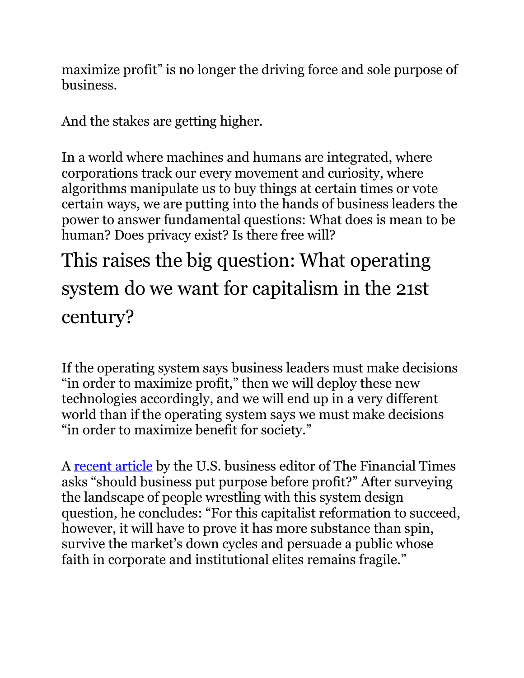maximize profit" is no longer the driving force and sole purpose of business.

And the stakes are getting higher.

In a world where machines and humans are integrated, where corporations track our every movement and curiosity, where algorithms manipulate us to buy things at certain times or vote certain ways, we are putting into the hands of business leaders the power to answer fundamental questions: What does is mean to be human? Does privacy exist? Is there free will?

This raises the big question: What operating system do we want for capitalism in the 21st century?

If the operating system says business leaders must make decisions "in order to maximize profit," then we will deploy these new technologies accordingly, and we will end up in a very different world than if the operating system says we must make decisions "in order to maximize benefit for society."

A [recent article](https://www.ft.com/content/a84647f8-0d0b-11e9-a3aa-118c761d2745) by the U.S. business editor of The Financial Times asks "should business put purpose before profit?" After surveying the landscape of people wrestling with this system design question, he concludes: "For this capitalist reformation to succeed, however, it will have to prove it has more substance than spin, survive the market's down cycles and persuade a public whose faith in corporate and institutional elites remains fragile."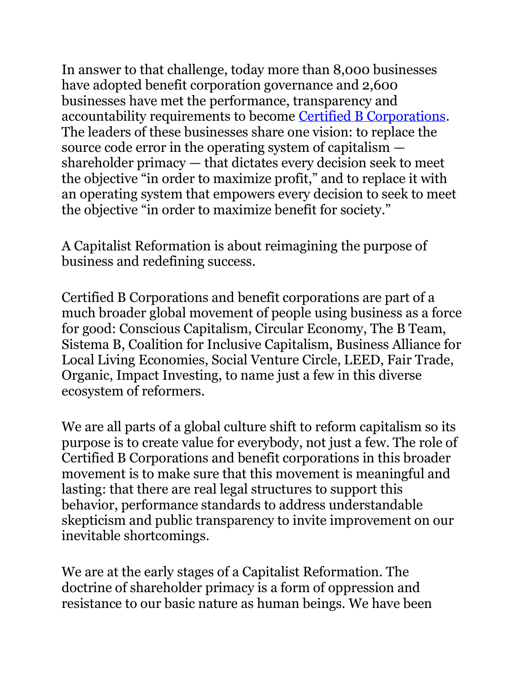In answer to that challenge, today more than 8,000 businesses have adopted benefit corporation governance and 2,600 businesses have met the performance, transparency and accountability requirements to become [Certified B Corporations.](https://bcorporation.net/about-b-corps) The leaders of these businesses share one vision: to replace the source code error in the operating system of capitalism shareholder primacy — that dictates every decision seek to meet the objective "in order to maximize profit," and to replace it with an operating system that empowers every decision to seek to meet the objective "in order to maximize benefit for society."

A Capitalist Reformation is about reimagining the purpose of business and redefining success.

Certified B Corporations and benefit corporations are part of a much broader global movement of people using business as a force for good: Conscious Capitalism, Circular Economy, The B Team, Sistema B, Coalition for Inclusive Capitalism, Business Alliance for Local Living Economies, Social Venture Circle, LEED, Fair Trade, Organic, Impact Investing, to name just a few in this diverse ecosystem of reformers.

We are all parts of a global culture shift to reform capitalism so its purpose is to create value for everybody, not just a few. The role of Certified B Corporations and benefit corporations in this broader movement is to make sure that this movement is meaningful and lasting: that there are real legal structures to support this behavior, performance standards to address understandable skepticism and public transparency to invite improvement on our inevitable shortcomings.

We are at the early stages of a Capitalist Reformation. The doctrine of shareholder primacy is a form of oppression and resistance to our basic nature as human beings. We have been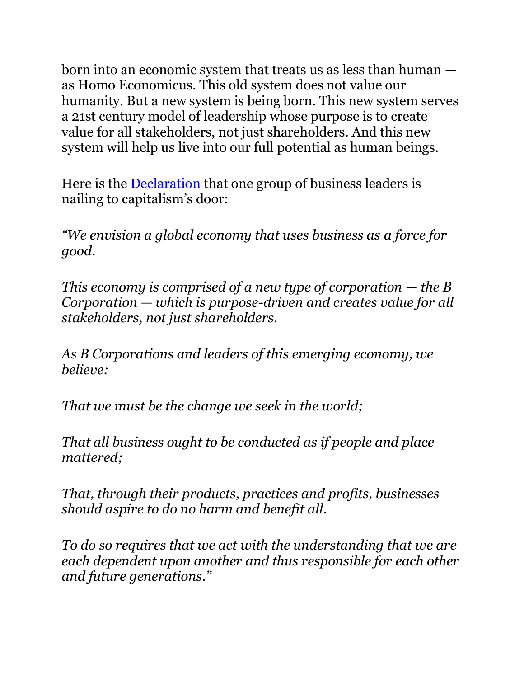born into an economic system that treats us as less than human as Homo Economicus. This old system does not value our humanity. But a new system is being born. This new system serves a 21st century model of leadership whose purpose is to create value for all stakeholders, not just shareholders. And this new system will help us live into our full potential as human beings.

Here is the [Declaration](https://bcorporation.net/about-b-corps) that one group of business leaders is nailing to capitalism's door:

*"We envision a global economy that uses business as a force for good.*

*This economy is comprised of a new type of corporation — the B Corporation — which is purpose-driven and creates value for all stakeholders, not just shareholders.*

*As B Corporations and leaders of this emerging economy, we believe:*

*That we must be the change we seek in the world;*

*That all business ought to be conducted as if people and place mattered;*

*That, through their products, practices and profits, businesses should aspire to do no harm and benefit all.*

*To do so requires that we act with the understanding that we are each dependent upon another and thus responsible for each other and future generations."*